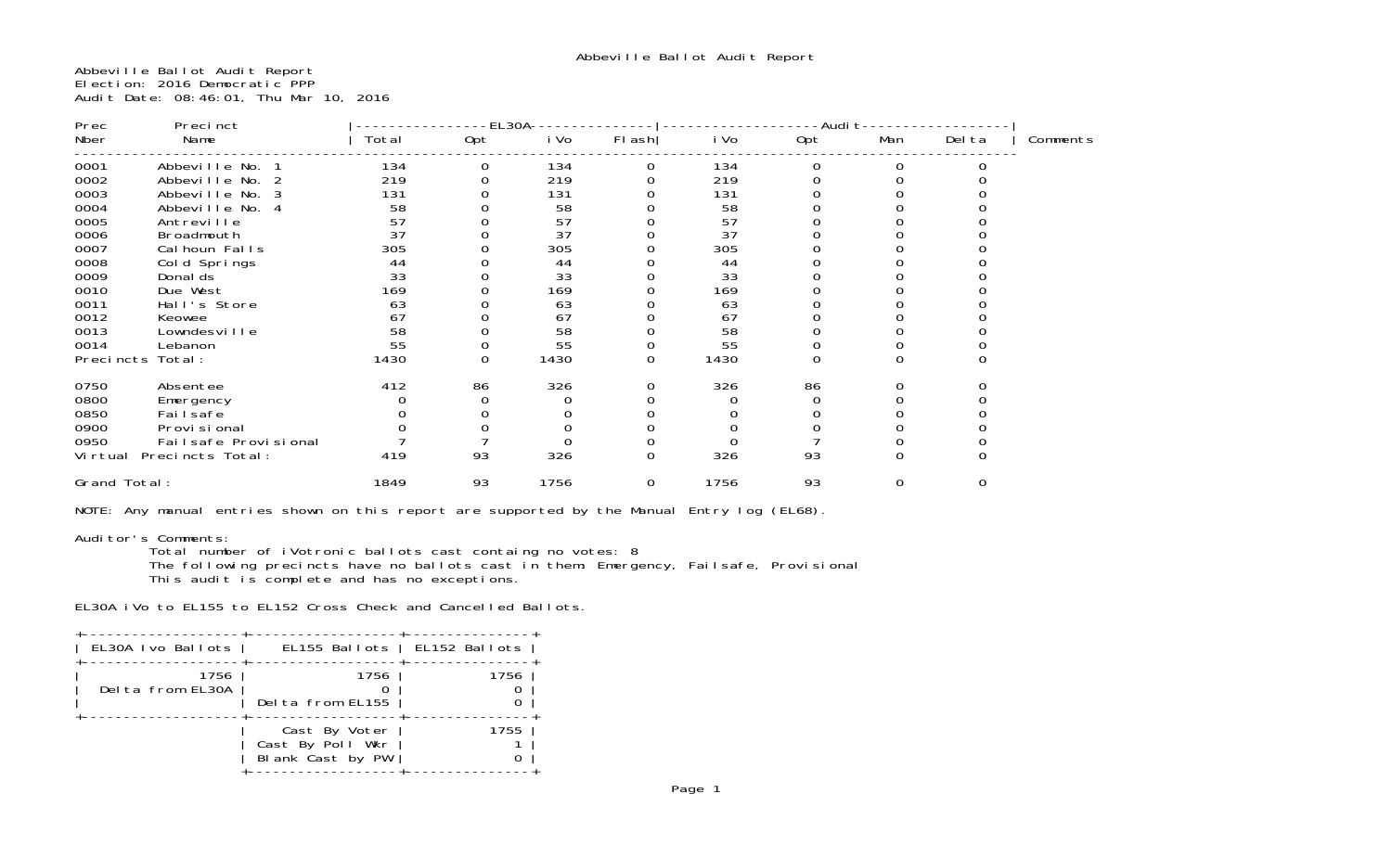Abbeville Ballot Audit Report Election: 2016 Democratic PPP Audit Date: 08:46:01, Thu Mar 10, 2016

| Prec<br>Precinct |                          | EL30A |                  |      |                  | -Audi t |             |             |          |          |
|------------------|--------------------------|-------|------------------|------|------------------|---------|-------------|-------------|----------|----------|
| Nber             | Name                     | Total | Opt              | i Vo | $FI$ ash         | i Vo    | Opt         | Man         | Del ta   | Comments |
| 0001             | Abbeville No.            | 134   | 0                | 134  | 0                | 134     | 0           | 0           |          |          |
| 0002             | Abbeville No.            | 219   |                  | 219  |                  | 219     |             |             |          |          |
| 0003             | Abbeville No.            | 131   |                  | 131  |                  | 131     |             |             |          |          |
| 0004             | Abbeville No. 4          | 58    |                  | 58   |                  | 58      |             |             |          |          |
| 0005             | Antreville               | 57    |                  | 57   |                  | 57      |             |             |          |          |
| 0006             | Broadmouth               | 37    |                  | 37   |                  | 37      |             |             |          |          |
| 0007             | Cal houn Falls           | 305   |                  | 305  |                  | 305     |             |             |          |          |
| 0008             | Cold Springs             | 44    |                  | 44   |                  | 44      |             |             |          |          |
| 0009             | Donal ds                 | 33    |                  | 33   |                  | 33      |             |             |          |          |
| 0010             | Due West                 | 169   |                  | 169  |                  | 169     |             |             |          |          |
| 0011             | Hall's Store             | 63    |                  | 63   |                  | 63      |             |             |          |          |
| 0012             | Keowee                   | 67    |                  | 67   |                  | 67      |             |             |          |          |
| 0013             | Lowndesville             | 58    |                  | 58   |                  | 58      |             |             |          |          |
| 0014             | Lebanon                  | 55    | O                | 55   | $\mathbf 0$      | 55      | $\mathbf 0$ | 0           |          |          |
| Precincts        | Total:                   | 1430  | $\boldsymbol{0}$ | 1430 | $\mathbf 0$      | 1430    | $\mathbf 0$ | $\mathbf 0$ | $\Omega$ |          |
| 0750             | Absentee                 | 412   | 86               | 326  | 0                | 326     | 86          | 0           |          |          |
| 0800             | Emergency                |       |                  |      | O                |         | 0           | $\Omega$    |          |          |
| 0850             | Fai I safe               |       |                  |      |                  |         |             |             |          |          |
| 0900             | Provi si onal            |       |                  |      | 0                |         |             |             |          |          |
| 0950             | Failsafe Provisional     |       |                  |      | 0                |         |             |             |          |          |
|                  | Virtual Precincts Total: | 419   | 93               | 326  | $\boldsymbol{0}$ | 326     | 93          | $\mathbf 0$ | $\Omega$ |          |
| Grand Total:     |                          | 1849  | 93               | 1756 | $\mathbf 0$      | 1756    | 93          | 0           | 0        |          |

NOTE: Any manual entries shown on this report are supported by the Manual Entry log (EL68).

# Auditor's Comments:

Total number of iVotronic ballots cast containg no votes: 8

 The following precincts have no ballots cast in them: Emergency, Failsafe, Provisional This audit is complete and has no exceptions.

EL30A iVo to EL155 to EL152 Cross Check and Cancelled Ballots.

| EL30A Ivo Ballots        | EL155 Ballots   EL152 Ballots                         |      |
|--------------------------|-------------------------------------------------------|------|
| 1756<br>Delta from EL30A | 1756<br>Delta from EL155                              | 1756 |
|                          | Cast By Voter<br>Cast By Poll Wkr<br>Blank Cast by PW | 1755 |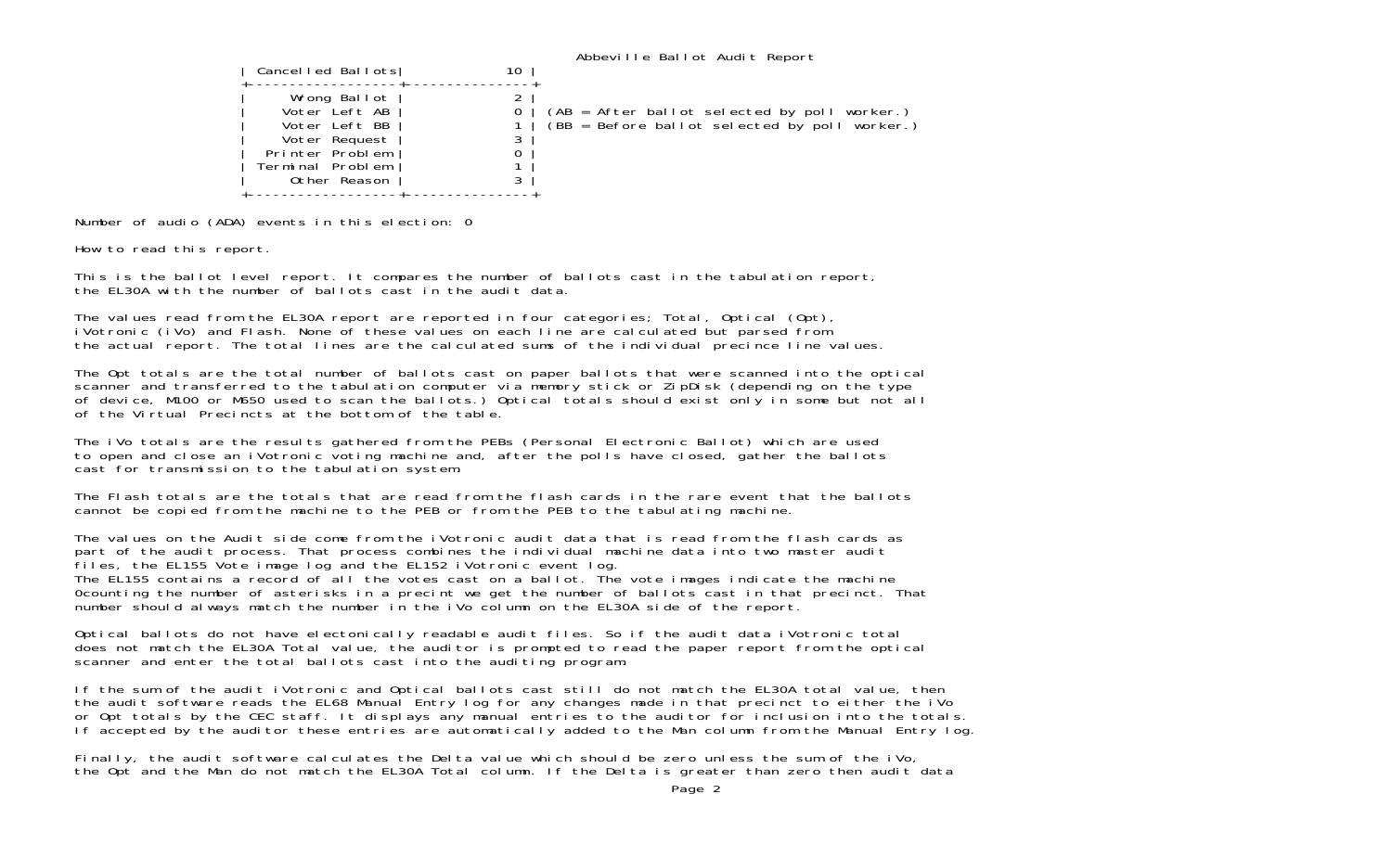| Cancelled Ballots                                                                                                      | 10 | Abbeville Ballot Audit Report                                                                   |
|------------------------------------------------------------------------------------------------------------------------|----|-------------------------------------------------------------------------------------------------|
| Wrong Ballot<br>Voter Left AB<br>Voter Left BB<br>Voter Request<br>Printer Problem<br>Terminal Problem<br>Other Reason | ∠  | (AB = After ballot selected by poll worker.)<br>$(BB = Before ballot selected by poll worker.)$ |

Number of audio (ADA) events in this election: 0

How to read this report.

This is the ballot level report. It compares the number of ballots cast in the tabulation report, the EL30A with the number of ballots cast in the audit data.

The values read from the EL30A report are reported in four categories; Total, Optical (Opt), iVotronic (iVo) and Flash. None of these values on each line are calculated but parsed from the actual report. The total lines are the calculated sums of the individual precince line values.

The Opt totals are the total number of ballots cast on paper ballots that were scanned into the optical scanner and transferred to the tabulation computer via memory stick or ZipDisk (depending on the type of device. M100 or M650 used to scan the ballots.) Optical totals should exist only in some but not all of the Virtual Precincts at the bottom of the table.

The iVo totals are the results gathered from the PEBs (Personal Electronic Ballot) which are used to open and close an iVotronic voting machine and, after the polls have closed, gather the ballots cast for transmission to the tabulation system.

The Flash totals are the totals that are read from the flash cards in the rare event that the ballotscannot be copied from the machine to the PEB or from the PEB to the tabulating machine.

The values on the Audit side come from the iVotronic audit data that is read from the flash cards as part of the audit process. That process combines the individual machine data into two master audit files, the EL155 Vote image log and the EL152 iVotronic event log.

The EL155 contains a record of all the votes cast on a ballot. The vote images indicate the machine 0counting the number of asterisks in a precint we get the number of ballots cast in that precinct. That number should always match the number in the iVo column on the EL30A side of the report.

Optical ballots do not have electonically readable audit files. So if the audit data iVotronic total does not match the EL30A Total value, the auditor is prompted to read the paper report from the optical scanner and enter the total ballots cast into the auditing program.

If the sum of the audit iVotronic and Optical ballots cast still do not match the EL30A total value, then the audit software reads the EL68 Manual Entry log for any changes made in that precinct to either the iVo or Opt totals by the CEC staff. It displays any manual entries to the auditor for inclusion into the totals. If accepted by the auditor these entries are automatically added to the Man column from the Manual Entry log.

Finally, the audit software calculates the Delta value which should be zero unless the sum of the iVo, the Opt and the Man do not match the EL30A Total column. If the Delta is greater than zero then audit data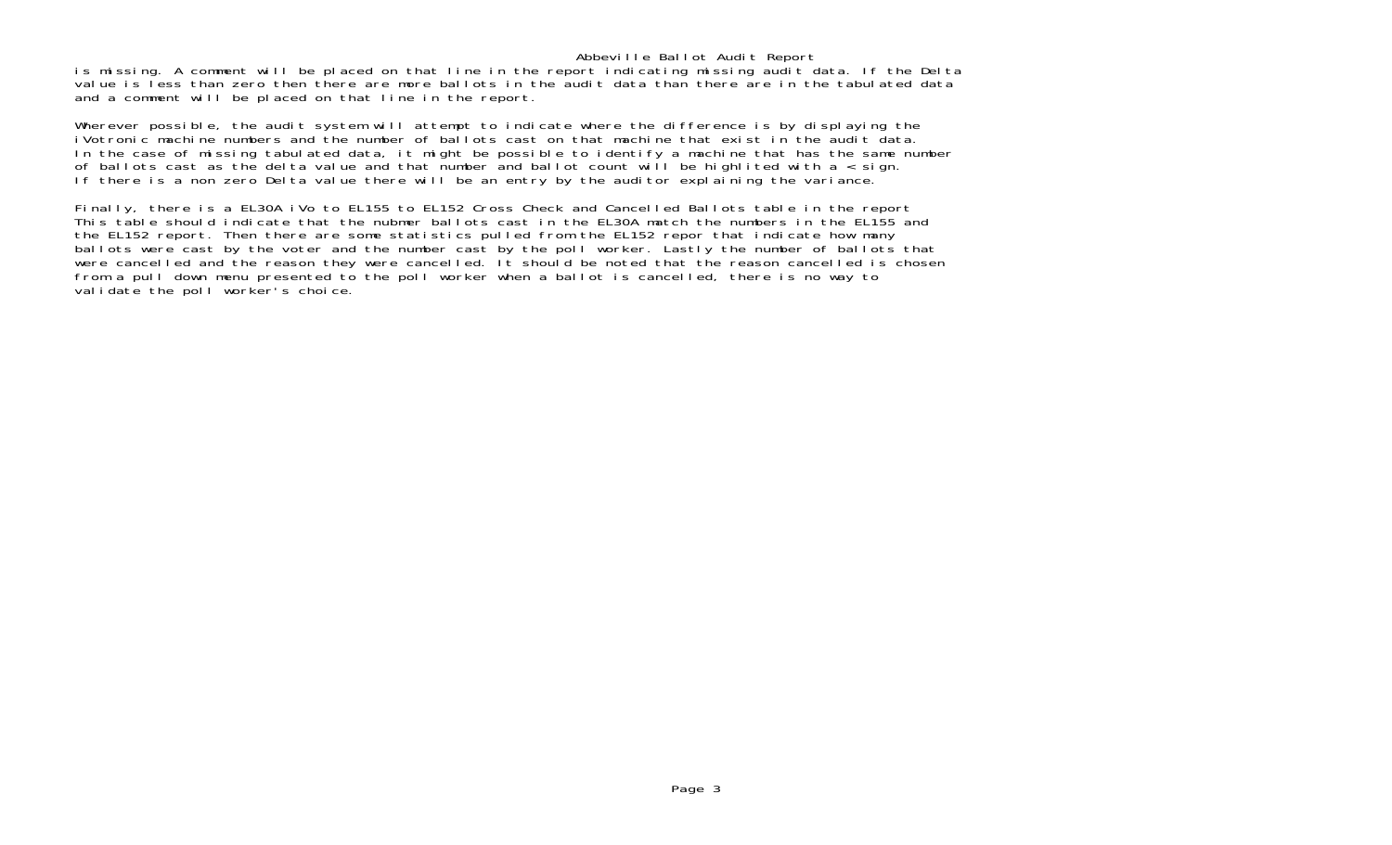## Abbeville Ballot Audit Report

is missing. A comment will be placed on that line in the report indicating missing audit data. If the Delta value is less than zero then there are more ballots in the audit data than there are in the tabulated data and a comment will be placed on that line in the report.

Wherever possible, the audit system will attempt to indicate where the difference is by displaying the iVotronic machine numbers and the number of ballots cast on that machine that exist in the audit data.In the case of missing tabulated data, it might be possible to identify a machine that has the same number of ballots cast as the delta value and that number and ballot count will be highlited with  $a <$  sign. If there is a non zero Delta value there will be an entry by the auditor explaining the variance.

Finally, there is a EL30A iVo to EL155 to EL152 Cross Check and Cancelled Ballots table in the report This table should indicate that the nubmer ballots cast in the EL30A match the numbers in the EL155 and the EL152 report. Then there are some statistics pulled from the EL152 repor that indicate how many ballots were cast by the voter and the number cast by the poll worker. Lastly the number of ballots that were cancelled and the reason they were cancelled. It should be noted that the reason cancelled is chosen from a pull down menu presented to the poll worker when a ballot is cancelled, there is no way to validate the poll worker's choice.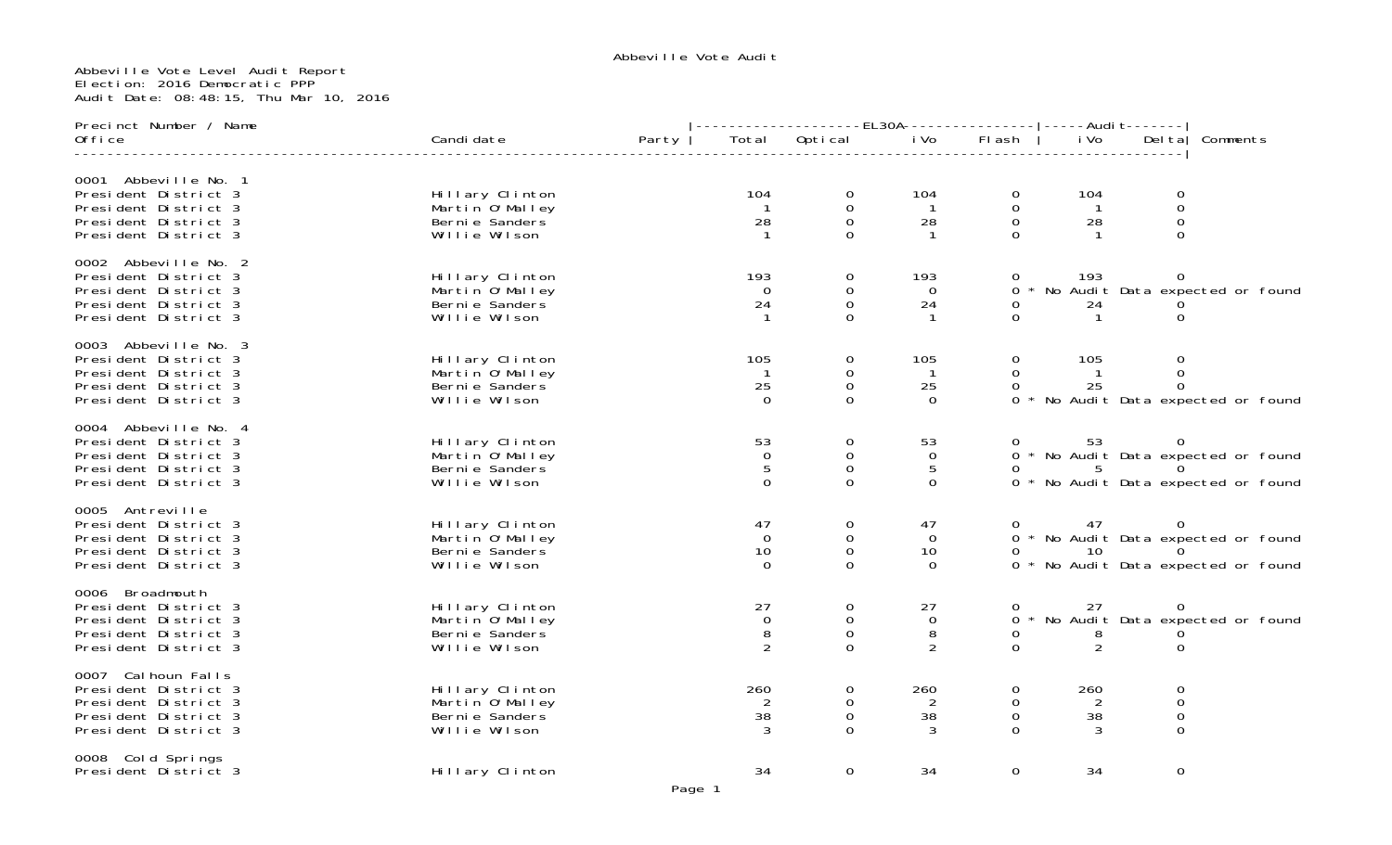# Abbeville Vote Level Audit Report Election: 2016 Democratic PPP Audit Date: 08:48:15, Thu Mar 10, 2016

| Precinct Number / Name                                                                                               |                                                                         |       | --------------EL30A----------------    |                                                       |                                          | -----Audi t-------                |                                   |                                           |                                                                            |  |
|----------------------------------------------------------------------------------------------------------------------|-------------------------------------------------------------------------|-------|----------------------------------------|-------------------------------------------------------|------------------------------------------|-----------------------------------|-----------------------------------|-------------------------------------------|----------------------------------------------------------------------------|--|
| Office                                                                                                               | Candi date                                                              | Party | Total                                  | Optical                                               | i Vo                                     | FI ash                            | i Vo                              | Del ta                                    | Comments                                                                   |  |
| 0001 Abbeville No. 1<br>President District 3<br>President District 3<br>President District 3<br>President District 3 | Hillary Clinton<br>Martin 0' Malley<br>Berni e Sanders<br>Willie Wilson |       | 104<br>$\overline{1}$<br>28            | $\mathbf 0$<br>$\mathbf 0$<br>$\mathbf 0$<br>$\Omega$ | 104<br>$\overline{1}$<br>28              | 0<br>$\mathbf 0$<br>0<br>$\Omega$ | 104<br>$\overline{1}$<br>28<br>-1 | 0<br>$\mathbf 0$<br>0<br>$\Omega$         |                                                                            |  |
| 0002 Abbeville No. 2<br>President District 3<br>President District 3<br>President District 3<br>President District 3 | Hillary Clinton<br>Martin O'Malley<br>Berni e Sanders<br>Willie Wilson  |       | 193<br>$\Omega$<br>24                  | 0<br>$\Omega$<br>0<br>$\Omega$                        | 193<br>$\Omega$<br>24                    | 0<br>0<br>0<br>$\Omega$           | 193<br>24                         | 0<br>0                                    | * No Audit Data expected or found                                          |  |
| 0003 Abbeville No. 3<br>President District 3<br>President District 3<br>President District 3<br>President District 3 | Hillary Clinton<br>Martin O'Malley<br>Berni e Sanders<br>Willie Wilson  |       | 105<br>$\mathbf{1}$<br>25<br>$\Omega$  | 0<br>0<br>$\mathbf 0$<br>$\Omega$                     | 105<br>$\mathbf{1}$<br>25<br>$\Omega$    | 0<br>$\Omega$<br>0                | 105<br>$\overline{1}$<br>25       | 0<br>$\Omega$<br>$\Omega$                 | 0 * No Audit Data expected or found                                        |  |
| 0004 Abbeville No. 4<br>President District 3<br>President District 3<br>President District 3<br>President District 3 | Hillary Clinton<br>Martin O'Malley<br>Berni e Sanders<br>Willie Wilson  |       | 53<br>$\mathbf 0$<br>5<br>$\Omega$     | 0<br>$\mathsf{O}\xspace$<br>0<br>0                    | 53<br>$\mathbf 0$<br>5<br>$\Omega$       |                                   | 53<br>5                           |                                           | 0 * No Audit Data expected or found<br>0 * No Audit Data expected or found |  |
| 0005 Antreville<br>President District 3<br>President District 3<br>President District 3<br>President District 3      | Hillary Clinton<br>Martin O'Malley<br>Berni e Sanders<br>Willie Wilson  |       | 47<br>$\overline{0}$<br>10<br>$\Omega$ | 0<br>$\mathbf 0$<br>$\mathsf{O}\xspace$<br>$\Omega$   | 47<br>$\mathbf 0$<br>10<br>$\Omega$      | 0<br>0                            | 47<br>10                          | 0                                         | 0 * No Audit Data expected or found<br>0 * No Audit Data expected or found |  |
| 0006 Broadmouth<br>President District 3<br>President District 3<br>President District 3<br>President District 3      | Hillary Clinton<br>Martin 0' Malley<br>Berni e Sanders<br>Willie Wilson |       | 27<br>0<br>8<br>2                      | $\mathbf 0$<br>$\mathbf 0$<br>0<br>$\Omega$           | 27<br>$\mathbf 0$<br>8<br>$\overline{2}$ | $\Omega$<br>0<br>$\Omega$         | 27<br>8<br>2                      | 0<br>$\Omega$                             | * No Audit Data expected or found                                          |  |
| 0007 Cal houn Falls<br>President District 3<br>President District 3<br>President District 3<br>President District 3  | Hillary Clinton<br>Martin 0'Malley<br>Berni e Sanders<br>Willie Wilson  |       | 260<br>2<br>38<br>3                    | 0<br>0<br>$\mathbf 0$<br>0                            | 260<br>2<br>38<br>3                      | 0<br>0<br>0<br>$\Omega$           | 260<br>2<br>38<br>3               | 0<br>0<br>$\mathsf{O}\xspace$<br>$\Omega$ |                                                                            |  |
| 0008 Cold Springs<br>President District 3                                                                            | Hillary Clinton                                                         |       | 34<br>$\sim$ $\sim$ $\sim$             | 0                                                     | 34                                       | $\Omega$                          | 34                                | 0                                         |                                                                            |  |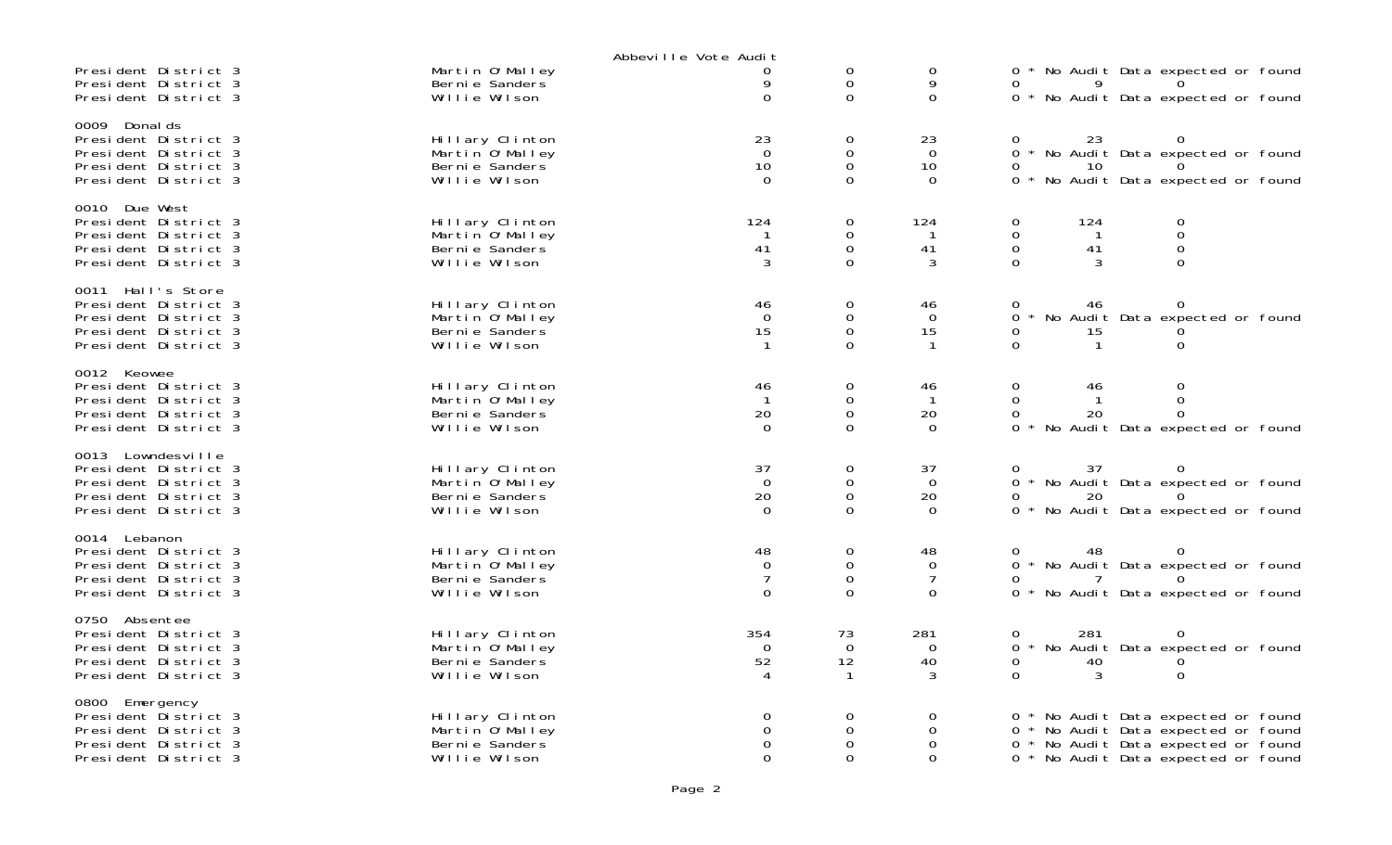|                                                                                                                   |                                                                         | Abbeville Vote Audit                                |                                                         |                                                    |                                                                                                                                                        |
|-------------------------------------------------------------------------------------------------------------------|-------------------------------------------------------------------------|-----------------------------------------------------|---------------------------------------------------------|----------------------------------------------------|--------------------------------------------------------------------------------------------------------------------------------------------------------|
| President District 3<br>President District 3<br>President District 3                                              | Martin O'Malley<br>Bernie Sanders<br>Willie Wilson                      | 0<br>9<br>$\overline{O}$                            | 0<br>0<br>0                                             | 0<br>9<br>$\mathbf 0$                              | 0 * No Audit Data expected or found<br>0 * No Audit Data expected or found                                                                             |
| 0009 Donal ds<br>President District 3<br>President District 3<br>President District 3<br>President District 3     | Hillary Clinton<br>Martin 0' Malley<br>Berni e Sanders<br>Willie Wilson | 23<br>$\Omega$<br>10<br>$\Omega$                    | 0<br>$\mathsf 0$<br>$\mathsf{O}\xspace$<br>$\mathbf{O}$ | 23<br>$\Omega$<br>10<br>$\Omega$                   | 23<br>$\overline{0}$<br>* No Audit Data expected or found<br>10<br>0<br>0 * No Audit Data expected or found                                            |
| 0010 Due West<br>President District 3<br>President District 3<br>President District 3<br>President District 3     | Hillary Clinton<br>Martin O'Malley<br>Berni e Sanders<br>Willie Wilson  | 124<br>41<br>3                                      | 0<br>0<br>$\mathbf 0$<br>$\Omega$                       | 124<br>41<br>3                                     | $\mathbf 0$<br>124<br>0<br>$\mathsf{O}\xspace$<br>0<br>$\mathbf 0$<br>$\mathbf 0$<br>41<br>$\Omega$<br>$\Omega$<br>3                                   |
| 0011 Hall's Store<br>President District 3<br>President District 3<br>President District 3<br>President District 3 | Hillary Clinton<br>Martin 0' Malley<br>Berni e Sanders<br>Willie Wilson | 46<br>$\Omega$<br>15                                | 0<br>$\mathbf 0$<br>$\mathbf 0$<br>$\Omega$             | 46<br>$\Omega$<br>15<br>$\mathbf{1}$               | 46<br>0<br>0<br>No Audit Data expected or found<br>$\Omega$<br>15<br>$\Omega$<br>$\mathbf{1}$<br>$\Omega$                                              |
| 0012 Keowee<br>President District 3<br>President District 3<br>President District 3<br>President District 3       | Hillary Clinton<br>Martin O'Malley<br>Bernie Sanders<br>Willie Wilson   | 46<br>20<br>$\Omega$                                | 0<br>0<br>$\mathbf 0$<br>$\Omega$                       | 46<br>$\mathbf{1}$<br>20<br>$\Omega$               | $\mathbf 0$<br>46<br>0<br>0<br>0<br>$\mathbf{1}$<br>20<br>$\Omega$<br>0<br>$\Omega$<br>No Audit Data expected or found                                 |
| 0013 Lowndesville<br>President District 3<br>President District 3<br>President District 3<br>President District 3 | Hillary Clinton<br>Martin O'Malley<br>Berni e Sanders<br>Willie Wilson  | 37<br>$\overline{0}$<br>20<br>$\Omega$              | 0<br>0<br>0<br>$\Omega$                                 | 37<br>$\overline{0}$<br>20<br>$\Omega$             | 37<br>0<br>0 * No Audit Data expected or found<br>20<br>* No Audit Data expected or found                                                              |
| 0014 Lebanon<br>President District 3<br>President District 3<br>President District 3<br>President District 3      | Hillary Clinton<br>Martin 0' Malley<br>Berni e Sanders<br>Willie Wilson | 48<br>$\mathbf 0$<br>$\overline{7}$<br>$\mathbf{O}$ | 0<br>$\mathbf 0$<br>$\mathbf 0$<br>$\mathbf{O}$         | 48<br>$\mathbf 0$<br>$\overline{7}$<br>$\mathbf 0$ | 48<br>0<br>0 * No Audit Data expected or found<br>* No Audit Data expected or found                                                                    |
| 0750 Absentee<br>President District 3<br>President District 3<br>President District 3<br>President District 3     | Hillary Clinton<br>Martin 0' Malley<br>Berni e Sanders<br>Willie Wilson | 354<br>$\Omega$<br>52                               | 73<br>$\overline{0}$<br>12                              | 281<br>$\Omega$<br>40<br>3                         | 281<br>0<br>0<br>No Audit Data expected or found<br>0<br>0<br>40<br>$\Omega$<br>3<br>0                                                                 |
| 0800 Emergency<br>President District 3<br>President District 3<br>President District 3<br>President District 3    | Hillary Clinton<br>Martin O'Malley<br>Berni e Sanders<br>Willie Wilson  | 0<br>0<br>0<br>$\Omega$                             | 0<br>0<br>$\Omega$<br>$\Omega$                          | 0<br>0<br>$\Omega$<br>$\Omega$                     | 0 * No Audit Data expected or found<br>* No Audit Data expected or found<br>0 * No Audit Data expected or found<br>0 * No Audit Data expected or found |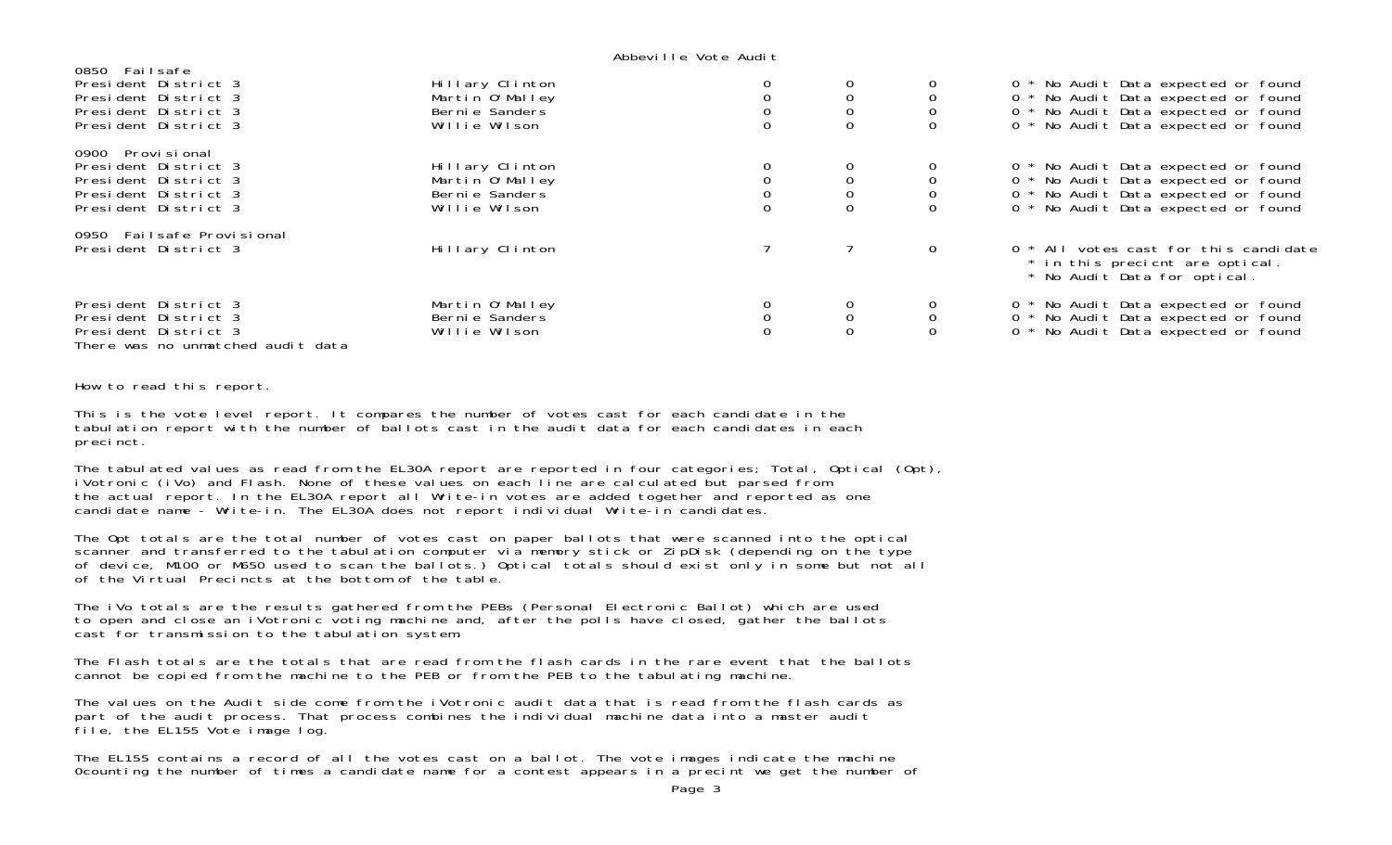#### Abbeville Vote Audit

| 0850 Failsafe<br>President District 3<br>President District 3<br>President District 3<br>President District 3    | Hillary Clinton<br>Martin O'Malley<br>Berni e Sanders<br>Willie Wilson |  |                                           | 0 * No Audit Data expected or found<br>0 * No Audit Data expected or found<br>0 * No Audit Data expected or found<br>0 * No Audit Data expected or found |
|------------------------------------------------------------------------------------------------------------------|------------------------------------------------------------------------|--|-------------------------------------------|----------------------------------------------------------------------------------------------------------------------------------------------------------|
| 0900 Provisional<br>President District 3<br>President District 3<br>President District 3<br>President District 3 | Hillary Clinton<br>Martin O'Malley<br>Bernie Sanders<br>Willie Wilson  |  | $\begin{matrix} 0 \\ 0 \\ 0 \end{matrix}$ | 0 * No Audit Data expected or found<br>0 * No Audit Data expected or found<br>0 * No Audit Data expected or found<br>0 * No Audit Data expected or found |
| 0950 Failsafe Provisional<br>President District 3                                                                | Hillary Clinton                                                        |  | 0                                         | 0 * All votes cast for this candidate<br>* in this precient are optical.<br>* No Audit Data for optical.                                                 |
| President District 3<br>President District 3<br>President District 3<br>There was no unmatched audit data        | Martin O'Malley<br>Bernie Sanders<br>Willie Wilson                     |  | ${\mathsf 0}$                             | 0 * No Audit Data expected or found<br>0 * No Audit Data expected or found<br>0 * No Audit Data expected or found                                        |

How to read this report.

This is the vote level report. It compares the number of votes cast for each candidate in the tabulation report with the number of ballots cast in the audit data for each candidates in each precinct.

The tabulated values as read from the EL30A report are reported in four categories; Total, Optical (Opt), iVotronic (iVo) and Flash. None of these values on each line are calculated but parsed from the actual report. In the EL30A report all Write-in votes are added together and reported as one candidate name - Write-in. The EL30A does not report individual Write-in candidates.

The Opt totals are the total number of votes cast on paper ballots that were scanned into the optical scanner and transferred to the tabulation computer via memory stick or ZipDisk (depending on the type of device, M100 or M650 used to scan the ballots.) Optical totals should exist only in some but not all of the Virtual Precincts at the bottom of the table.

The iVo totals are the results gathered from the PEBs (Personal Electronic Ballot) which are used to open and close an iVotronic voting machine and, after the polls have closed, gather the ballots cast for transmission to the tabulation system.

The Flash totals are the totals that are read from the flash cards in the rare event that the ballotscannot be copied from the machine to the PEB or from the PEB to the tabulating machine.

The values on the Audit side come from the iVotronic audit data that is read from the flash cards as part of the audit process. That process combines the individual machine data into a master audit file, the EL155 Vote image log.

The EL155 contains a record of all the votes cast on a ballot. The vote images indicate the machine 0counting the number of times a candidate name for a contest appears in a precint we get the number of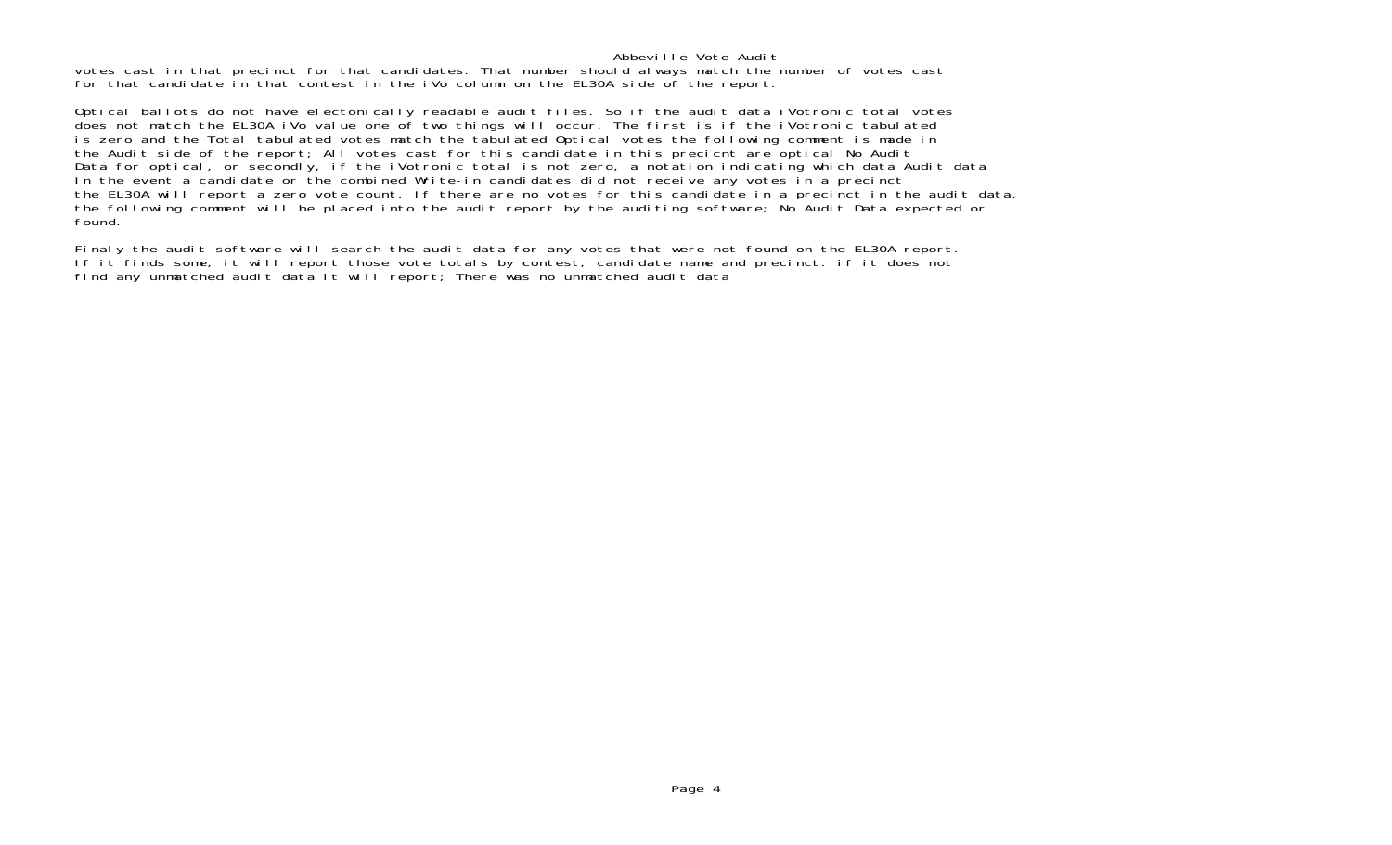### Abbeville Vote Audit

 votes cast in that precinct for that candidates. That number should always match the number of votes cast for that candidate in that contest in the iVo column on the EL30A side of the report.

Optical ballots do not have electonically readable audit files. So if the audit data iVotronic total votes does not match the EL30A iVo value one of two things will occur. The first is if the iVotronic tabulated is zero and the Total tabulated votes match the tabulated Optical votes the following comment is made in the Audit side of the report; All votes cast for this candidate in this precicnt are optical No Audit Data for optical, or secondly, if the iVotronic total is not zero, a notation indicating which data Audit data In the event a candidate or the combined Write-in candidates did not receive any votes in a precinct the EL30A will report a zero vote count. If there are no votes for this candidate in a precinct in the audit data, the following comment will be placed into the audit report by the auditing software; No Audit Data expected or found.

Finaly the audit software will search the audit data for any votes that were not found on the EL30A report. If it finds some, it will report those vote totals by contest, candidate name and precinct. if it does not find any unmatched audit data it will report; There was no unmatched audit data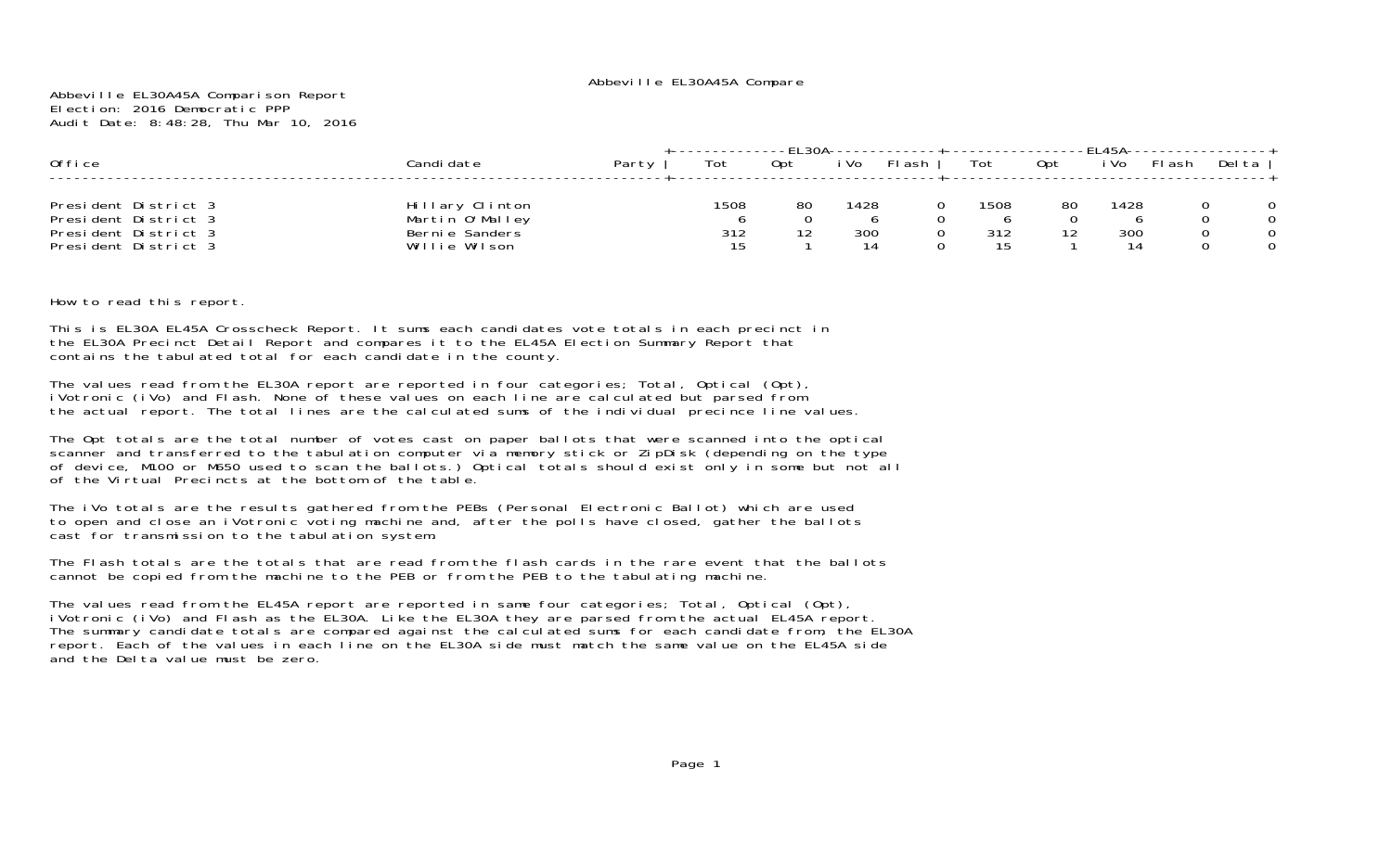Abbeville EL30A45A Comparison Report Election: 2016 Democratic PPPAudit Date: 8:48:28, Thu Mar 10, 2016

| Office                                                                                       | Candi date                                                            | Party | Tot               | Opt | i Vo              | FI ash | Tot               | 0pt      | i Vo              | FI ash | Delta |
|----------------------------------------------------------------------------------------------|-----------------------------------------------------------------------|-------|-------------------|-----|-------------------|--------|-------------------|----------|-------------------|--------|-------|
| President District 3<br>President District 3<br>President District 3<br>President District 3 | Hillary Clinton<br>Martin O'Malley<br>Bernie Sanders<br>Willie Wilson |       | 1508<br>312<br>15 | 80  | 1428<br>300<br>14 |        | 1508<br>312<br>15 | 80<br>12 | 1428<br>300<br>14 |        |       |

How to read this report.

This is EL30A EL45A Crosscheck Report. It sums each candidates vote totals in each precinct in the EL30A Precinct Detail Report and compares it to the EL45A Election Summary Report that contains the tabulated total for each candidate in the county.

The values read from the EL30A report are reported in four categories; Total, Optical (Opt), iVotronic (iVo) and Flash. None of these values on each line are calculated but parsed from the actual report. The total lines are the calculated sums of the individual precince line values.

The Opt totals are the total number of votes cast on paper ballots that were scanned into the optical scanner and transferred to the tabulation computer via memory stick or ZipDisk (depending on the type of device, M100 or M650 used to scan the ballots.) Optical totals should exist only in some but not all of the Virtual Precincts at the bottom of the table.

The iVo totals are the results gathered from the PEBs (Personal Electronic Ballot) which are used to open and close an iVotronic voting machine and, after the polls have closed, gather the ballots cast for transmission to the tabulation system.

The Flash totals are the totals that are read from the flash cards in the rare event that the ballotscannot be copied from the machine to the PEB or from the PEB to the tabulating machine.

The values read from the EL45A report are reported in same four categories; Total, Optical (Opt),<br>iVotronic (iVo) and Flash as the EL30A. Like the EL30A they are parsed from the actual EL45A report. The summary candidate totals are compared against the calculated sums for each candidate from, the EL30A report. Each of the values in each line on the EL30A side must match the same value on the EL45A side and the Delta value must be zero.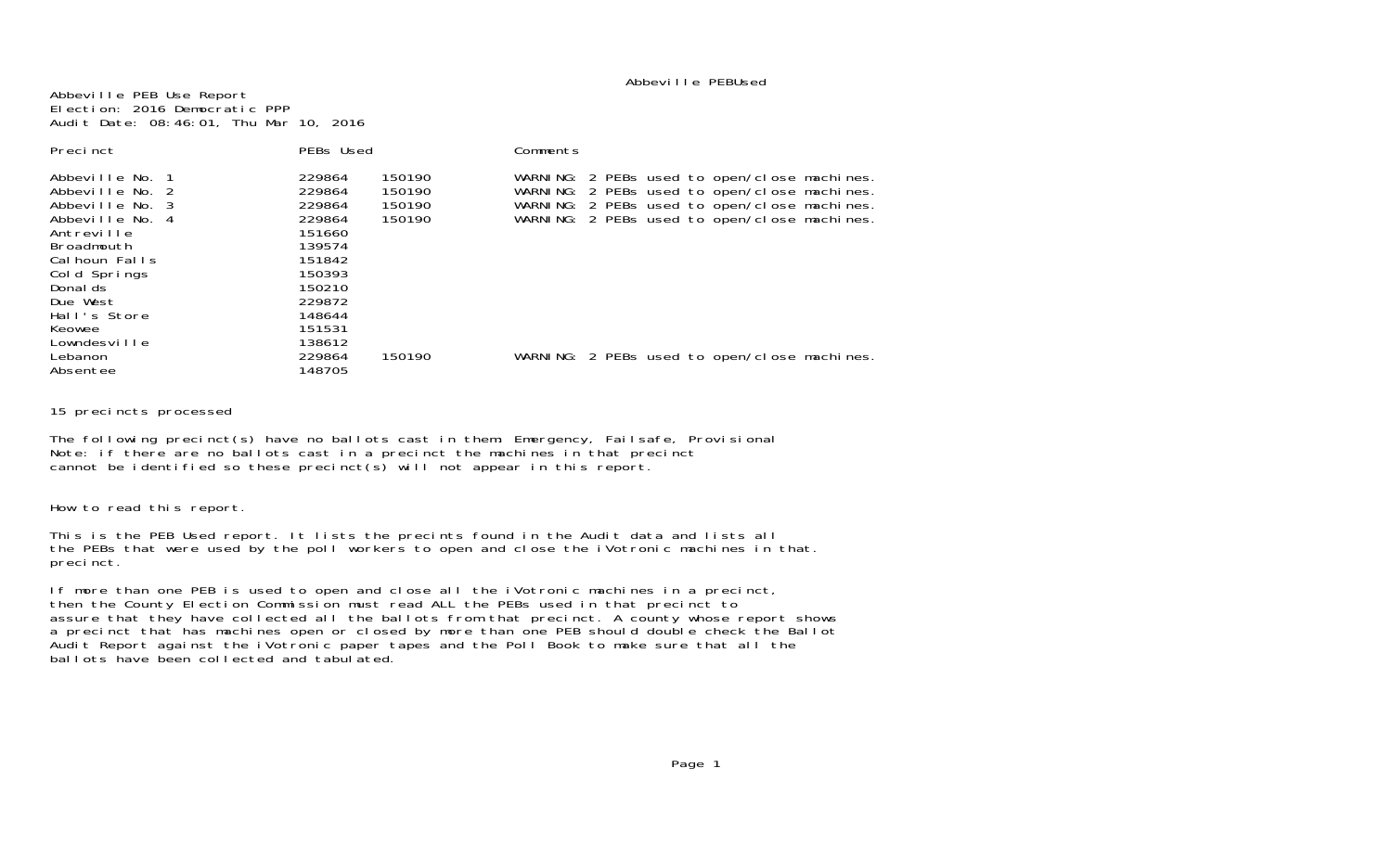#### Abbeville PEBUsed

Abbeville PEB Use Report Election: 2016 Democratic PPPAudit Date: 08:46:01, Thu Mar 10, 2016

| Precinct                                                                                                                                           | PEBs Used                                                                                                                      | Comments                                                                                                                                                                                     |
|----------------------------------------------------------------------------------------------------------------------------------------------------|--------------------------------------------------------------------------------------------------------------------------------|----------------------------------------------------------------------------------------------------------------------------------------------------------------------------------------------|
| Abbeville No. 1<br>Abbeville No. 2<br>Abbeville No. 3<br>Abbeville No. 4<br>Antreville<br>Broadmouth<br>Cal houn Falls<br>Cold Springs<br>Donal ds | 229864<br>150190<br>229864<br>150190<br>229864<br>150190<br>229864<br>150190<br>151660<br>139574<br>151842<br>150393<br>150210 | WARNING: 2 PEBs used to open/close machines.<br>WARNING: 2 PEBs used to open/close machines.<br>WARNING: 2 PEBs used to open/close machines.<br>WARNING: 2 PEBs used to open/close machines. |
| Due West<br>Hall's Store<br>Keowee<br>Lowndesville<br>Lebanon<br>Absentee                                                                          | 229872<br>148644<br>151531<br>138612<br>229864<br>150190<br>148705                                                             | WARNING: 2 PEBs used to open/close machines.                                                                                                                                                 |

15 precincts processed

The following precinct(s) have no ballots cast in them: Emergency, Failsafe, Provisional Note: if there are no ballots cast in a precinct the machines in that precinct cannot be identified so these precinct(s) will not appear in this report.

How to read this report.

This is the PEB Used report. It lists the precints found in the Audit data and lists all the PEBs that were used by the poll workers to open and close the iVotronic machines in that. precinct.

If more than one PEB is used to open and close all the iVotronic machines in a precinct, then the County Election Commission must read ALL the PEBs used in that precinct to assure that they have collected all the ballots from that precinct. A county whose report shows a precinct that has machines open or closed by more than one PEB should double check the Ballot Audit Report against the iVotronic paper tapes and the Poll Book to make sure that all the ballots have been collected and tabulated.